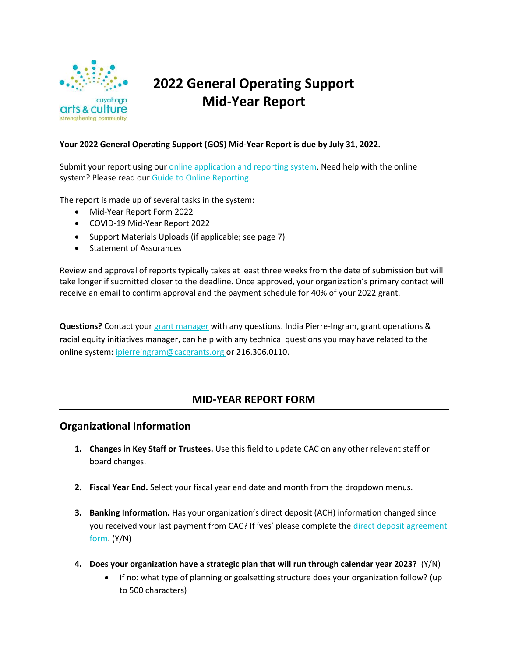

# **2022 General Operating Support Mid-Year Report**

# **Your 2022 General Operating Support (GOS) Mid-Year Report is due by July 31, 2022.**

Submit your report using our [online application and reporting system.](http://cacgrants.smapply.org/) Need help with the online system? Please read our [Guide to Online Reporting.](https://www.cacgrants.org/assets/ce/Documents/Grants/Online_Application_and_Reporting_System_Guide.pdf)

The report is made up of several tasks in the system:

- Mid-Year Report Form 2022
- COVID-19 Mid-Year Report 2022
- Support Materials Uploads (if applicable; see page 7)
- Statement of Assurances

Review and approval of reports typically takes at least three weeks from the date of submission but will take longer if submitted closer to the deadline. Once approved, your organization's primary contact will receive an email to confirm approval and the payment schedule for 40% of your 2022 grant.

**Questions?** Contact your [grant manager](https://www.cacgrants.org/assets/ce/Documents/grants/programmanagers.pdf) with any questions. India Pierre-Ingram, grant operations & racial equity initiatives manager, can help with any technical questions you may have related to the online system: [ipierreingram@cacgrants.org](mailto:ipierreingram@cacgrants.org) or 216.306.0110.

# **MID-YEAR REPORT FORM**

# **Organizational Information**

- **1. Changes in Key Staff or Trustees.** Use this field to update CAC on any other relevant staff or board changes.
- **2. Fiscal Year End.** Select your fiscal year end date and month from the dropdown menus.
- **3. Banking Information.** Has your organization's direct deposit (ACH) information changed since you received your last payment from CAC? If 'yes' please complete the [direct deposit agreement](https://form.jotform.com/203157145540953) [form.](https://form.jotform.com/203157145540953) (Y/N)
- **4. Does your organization have a strategic plan that will run through calendar year 2023?** (Y/N)
	- If no: what type of planning or goalsetting structure does your organization follow? (up to 500 characters)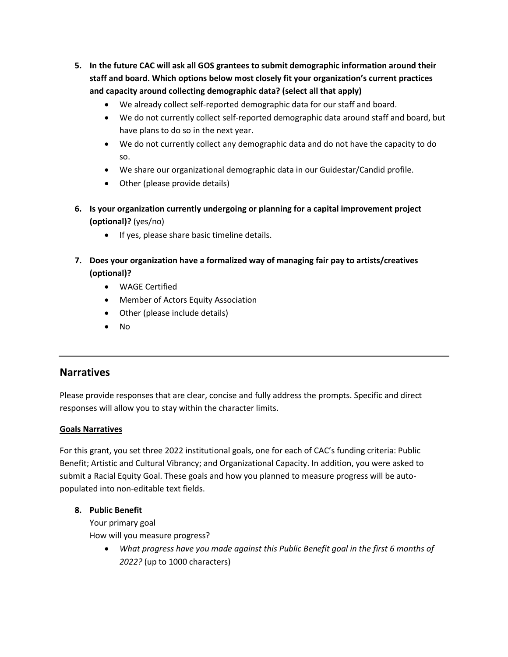- **5. In the future CAC will ask all GOS grantees to submit demographic information around their staff and board. Which options below most closely fit your organization's current practices and capacity around collecting demographic data? (select all that apply)**
	- We already collect self-reported demographic data for our staff and board.
	- We do not currently collect self-reported demographic data around staff and board, but have plans to do so in the next year.
	- We do not currently collect any demographic data and do not have the capacity to do so.
	- We share our organizational demographic data in our Guidestar/Candid profile.
	- Other (please provide details)
- **6. Is your organization currently undergoing or planning for a capital improvement project (optional)?** (yes/no)
	- If yes, please share basic timeline details.
- **7. Does your organization have a formalized way of managing fair pay to artists/creatives (optional)?** 
	- WAGE Certified
	- Member of Actors Equity Association
	- Other (please include details)
	- No

# **Narratives**

Please provide responses that are clear, concise and fully address the prompts. Specific and direct responses will allow you to stay within the character limits.

# **Goals Narratives**

For this grant, you set three 2022 institutional goals, one for each of CAC's funding criteria: Public Benefit; Artistic and Cultural Vibrancy; and Organizational Capacity. In addition, you were asked to submit a Racial Equity Goal. These goals and how you planned to measure progress will be autopopulated into non-editable text fields.

#### **8. Public Benefit**

Your primary goal How will you measure progress?

> • *What progress have you made against this Public Benefit goal in the first 6 months of 2022?* (up to 1000 characters)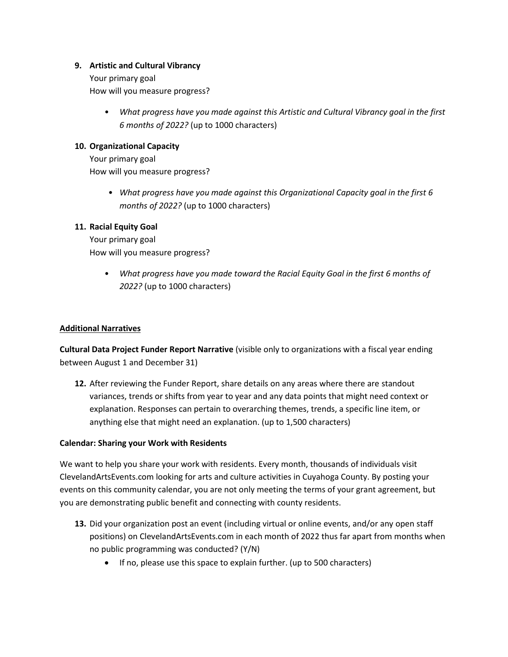### **9. Artistic and Cultural Vibrancy**

Your primary goal How will you measure progress?

> • *What progress have you made against this Artistic and Cultural Vibrancy goal in the first 6 months of 2022?* (up to 1000 characters)

### **10. Organizational Capacity**

Your primary goal How will you measure progress?

> • *What progress have you made against this Organizational Capacity goal in the first 6 months of 2022?* (up to 1000 characters)

#### **11. Racial Equity Goal**

Your primary goal How will you measure progress?

> • *What progress have you made toward the Racial Equity Goal in the first 6 months of 2022?* (up to 1000 characters)

#### **Additional Narratives**

**Cultural Data Project Funder Report Narrative** (visible only to organizations with a fiscal year ending between August 1 and December 31)

**12.** After reviewing the Funder Report, share details on any areas where there are standout variances, trends or shifts from year to year and any data points that might need context or explanation. Responses can pertain to overarching themes, trends, a specific line item, or anything else that might need an explanation. (up to 1,500 characters)

#### **Calendar: Sharing your Work with Residents**

We want to help you share your work with residents. Every month, thousands of individuals visit ClevelandArtsEvents.com looking for arts and culture activities in Cuyahoga County. By posting your events on this community calendar, you are not only meeting the terms of your grant agreement, but you are demonstrating public benefit and connecting with county residents.

- **13.** Did your organization post an event (including virtual or online events, and/or any open staff positions) on ClevelandArtsEvents.com in each month of 2022 thus far apart from months when no public programming was conducted? (Y/N)
	- If no, please use this space to explain further. (up to 500 characters)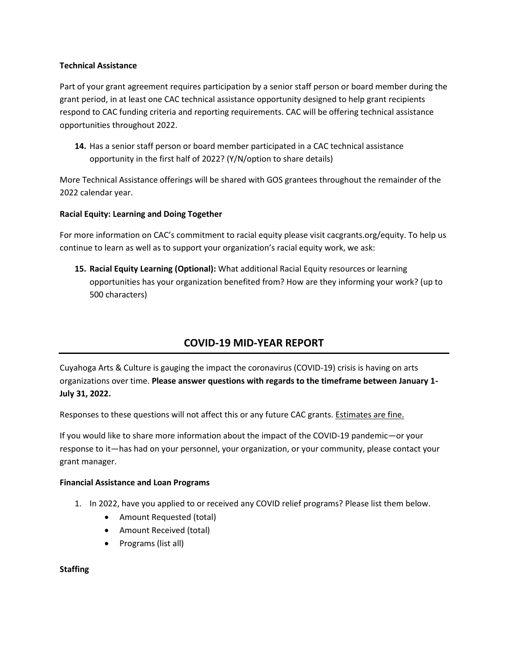#### **Technical Assistance**

Part of your grant agreement requires participation by a senior staff person or board member during the grant period, in at least one CAC technical assistance opportunity designed to help grant recipients respond to CAC funding criteria and reporting requirements. CAC will be offering technical assistance opportunities throughout 2022.

**14.** Has a senior staff person or board member participated in a CAC technical assistance opportunity in the first half of 2022? (Y/N/option to share details)

More Technical Assistance offerings will be shared with GOS grantees throughout the remainder of the 2022 calendar year.

# **Racial Equity: Learning and Doing Together**

For more information on CAC's commitment to racial equity please visit cacgrants.org/equity. To help us continue to learn as well as to support your organization's racial equity work, we ask:

**15. Racial Equity Learning (Optional):** What additional Racial Equity resources or learning opportunities has your organization benefited from? How are they informing your work? (up to 500 characters)

# **COVID-19 MID-YEAR REPORT**

Cuyahoga Arts & Culture is gauging the impact the coronavirus (COVID-19) crisis is having on arts organizations over time. **Please answer questions with regards to the timeframe between January 1- July 31, 2022.**

Responses to these questions will not affect this or any future CAC grants. Estimates are fine.

If you would like to share more information about the impact of the COVID-19 pandemic—or your response to it—has had on your personnel, your organization, or your community, please contact your grant manager.

#### **Financial Assistance and Loan Programs**

- 1. In 2022, have you applied to or received any COVID relief programs? Please list them below.
	- Amount Requested (total)
	- Amount Received (total)
	- Programs (list all)

#### **Staffing**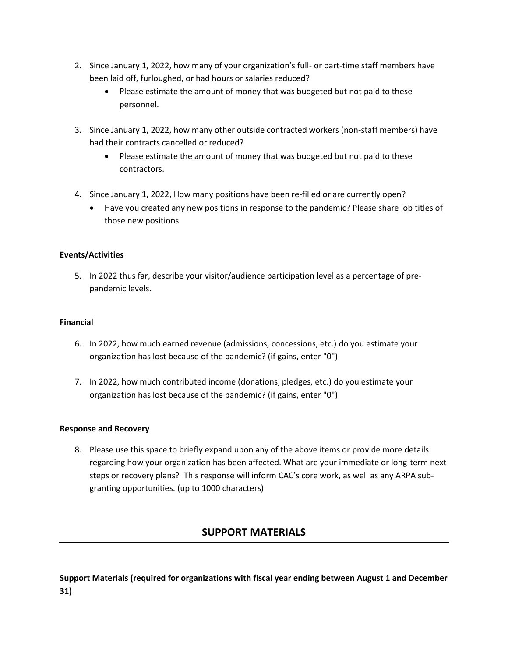- 2. Since January 1, 2022, how many of your organization's full- or part-time staff members have been laid off, furloughed, or had hours or salaries reduced?
	- Please estimate the amount of money that was budgeted but not paid to these personnel.
- 3. Since January 1, 2022, how many other outside contracted workers (non-staff members) have had their contracts cancelled or reduced?
	- Please estimate the amount of money that was budgeted but not paid to these contractors.
- 4. Since January 1, 2022, How many positions have been re-filled or are currently open?
	- Have you created any new positions in response to the pandemic? Please share job titles of those new positions

# **Events/Activities**

5. In 2022 thus far, describe your visitor/audience participation level as a percentage of prepandemic levels.

# **Financial**

- 6. In 2022, how much earned revenue (admissions, concessions, etc.) do you estimate your organization has lost because of the pandemic? (if gains, enter "0")
- 7. In 2022, how much contributed income (donations, pledges, etc.) do you estimate your organization has lost because of the pandemic? (if gains, enter "0")

# **Response and Recovery**

8. Please use this space to briefly expand upon any of the above items or provide more details regarding how your organization has been affected. What are your immediate or long-term next steps or recovery plans? This response will inform CAC's core work, as well as any ARPA subgranting opportunities. (up to 1000 characters)

# **SUPPORT MATERIALS**

**Support Materials (required for organizations with fiscal year ending between August 1 and December 31)**